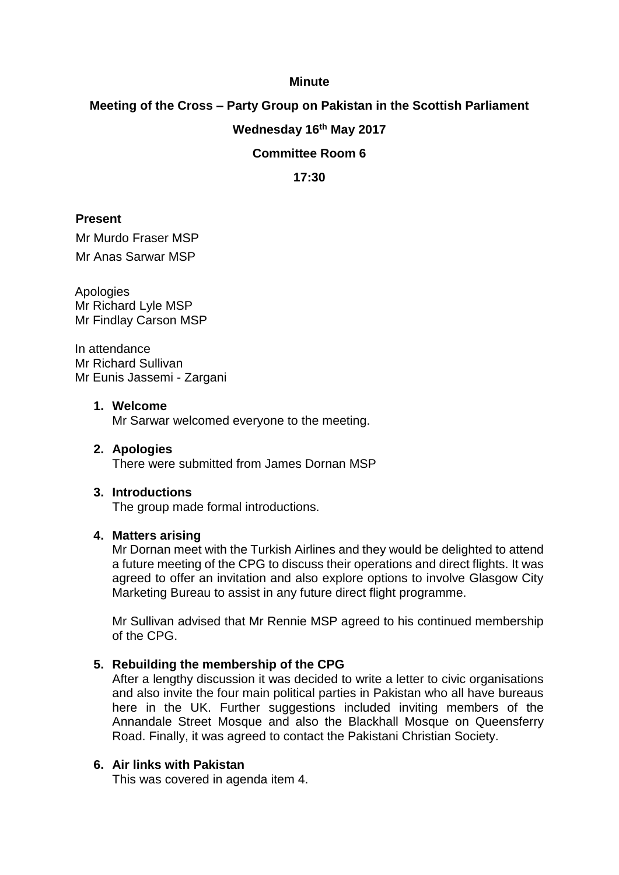## **Minute**

# **Meeting of the Cross – Party Group on Pakistan in the Scottish Parliament**

## **Wednesday 16th May 2017**

## **Committee Room 6**

**17:30**

## **Present**

Mr Murdo Fraser MSP Mr Anas Sarwar MSP

Apologies Mr Richard Lyle MSP Mr Findlay Carson MSP

In attendance Mr Richard Sullivan Mr Eunis Jassemi - Zargani

### **1. Welcome**

Mr Sarwar welcomed everyone to the meeting.

**2. Apologies** There were submitted from James Dornan MSP

#### **3. Introductions**

The group made formal introductions.

#### **4. Matters arising**

Mr Dornan meet with the Turkish Airlines and they would be delighted to attend a future meeting of the CPG to discuss their operations and direct flights. It was agreed to offer an invitation and also explore options to involve Glasgow City Marketing Bureau to assist in any future direct flight programme.

Mr Sullivan advised that Mr Rennie MSP agreed to his continued membership of the CPG.

## **5. Rebuilding the membership of the CPG**

After a lengthy discussion it was decided to write a letter to civic organisations and also invite the four main political parties in Pakistan who all have bureaus here in the UK. Further suggestions included inviting members of the Annandale Street Mosque and also the Blackhall Mosque on Queensferry Road. Finally, it was agreed to contact the Pakistani Christian Society.

## **6. Air links with Pakistan**

This was covered in agenda item 4.